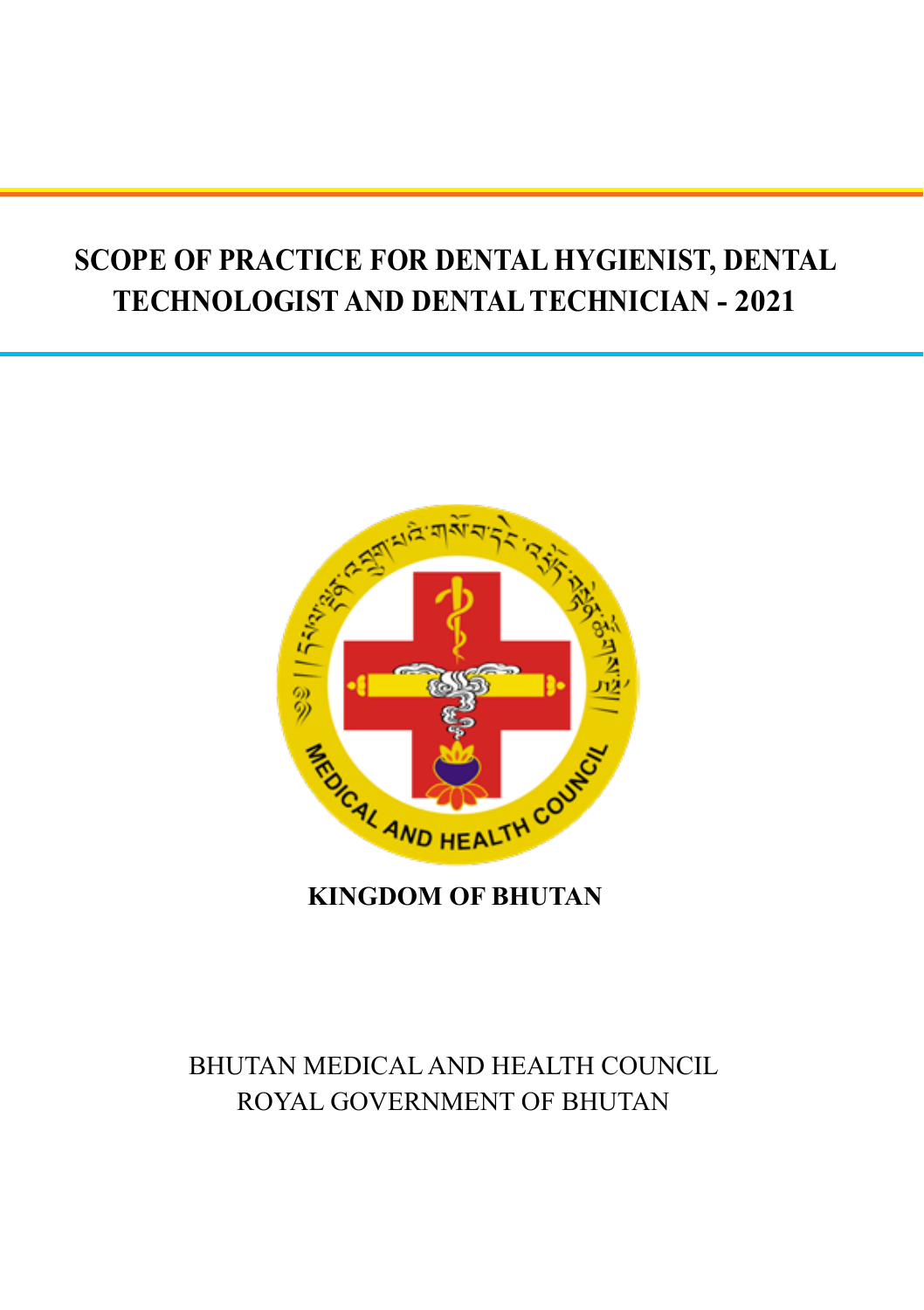# **SCOPE OF PRACTICE FOR DENTAL HYGIENIST, DENTAL TECHNOLOGIST AND DENTAL TECHNICIAN - 2021**



**KINGDOM OF BHUTAN**

# BHUTAN MEDICAL AND HEALTH COUNCIL ROYAL GOVERNMENT OF BHUTAN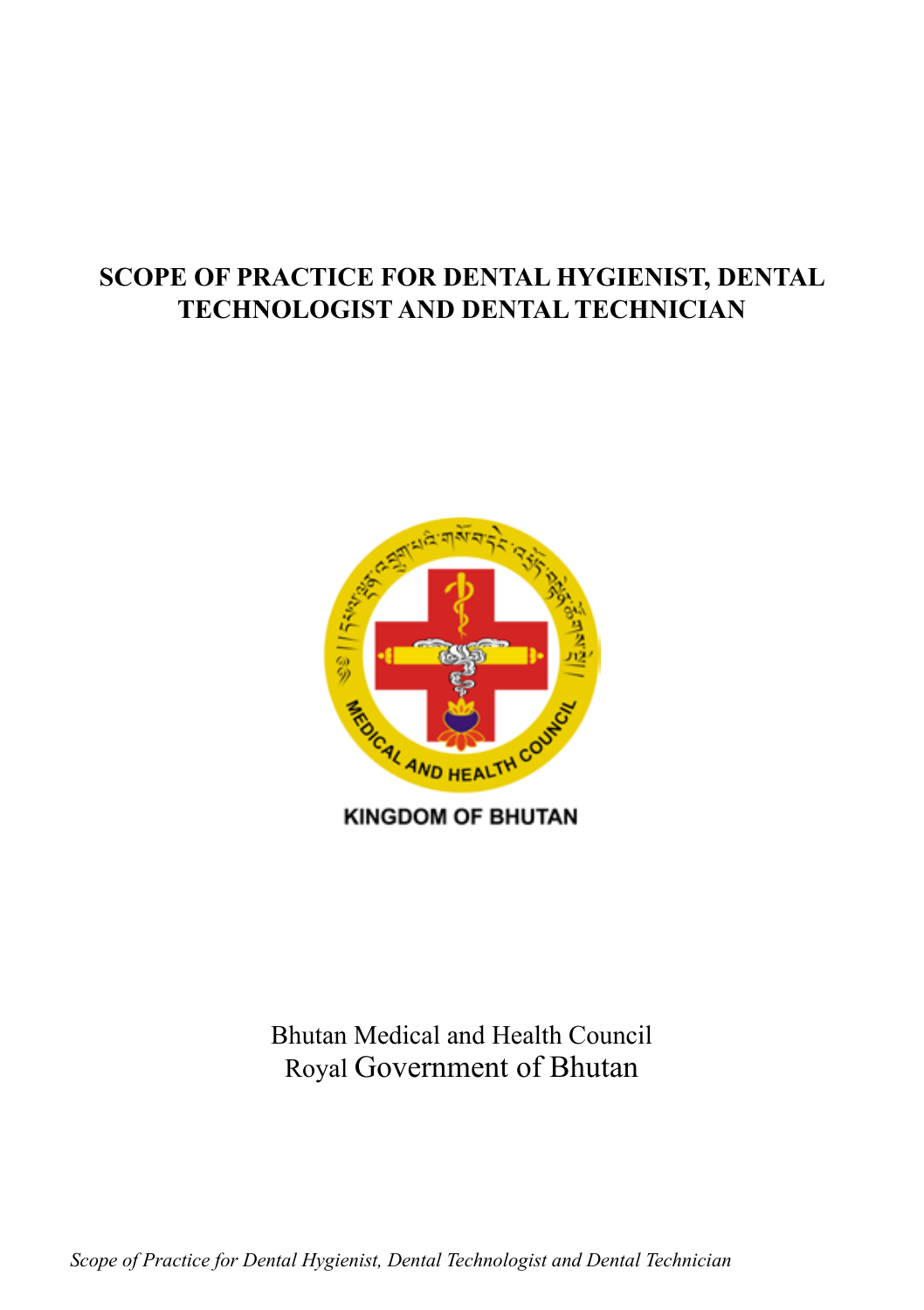### **SCOPE OF PRACTICE FOR DENTAL HYGIENIST, DENTAL TECHNOLOGIST AND DENTAL TECHNICIAN**



**KINGDOM OF BHUTAN** 

### Bhutan Medical and Health Council Royal Government of Bhutan

*Scope of Practice for Dental Hygienist, Dental Technologist and Dental Technician* **1**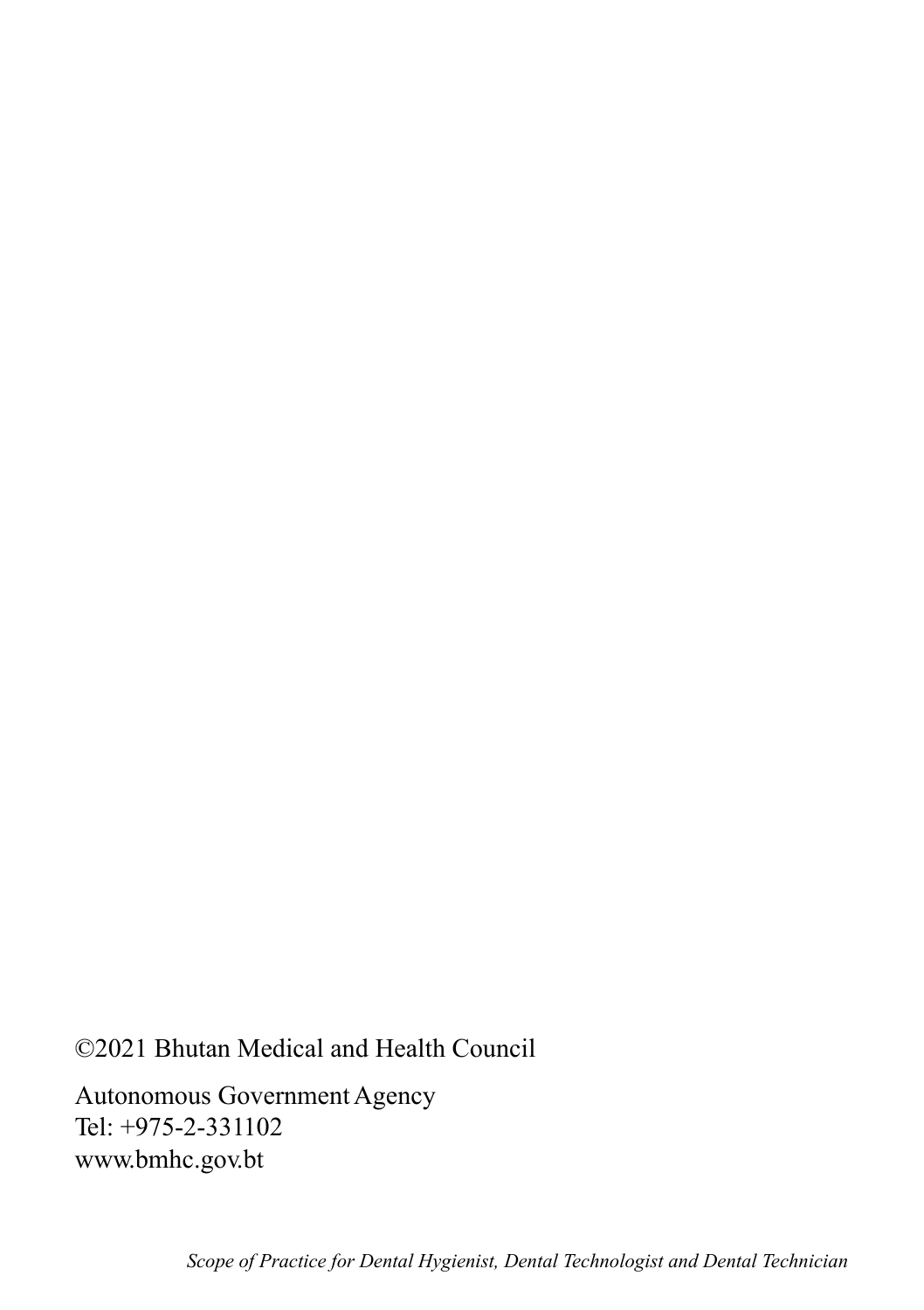©2021 Bhutan Medical and Health Council

Autonomous Government Agency Tel: +975-2-331102 www.bmhc.gov.bt

**2** *Scope of Practice for Dental Hygienist, Dental Technologist and Dental Technician*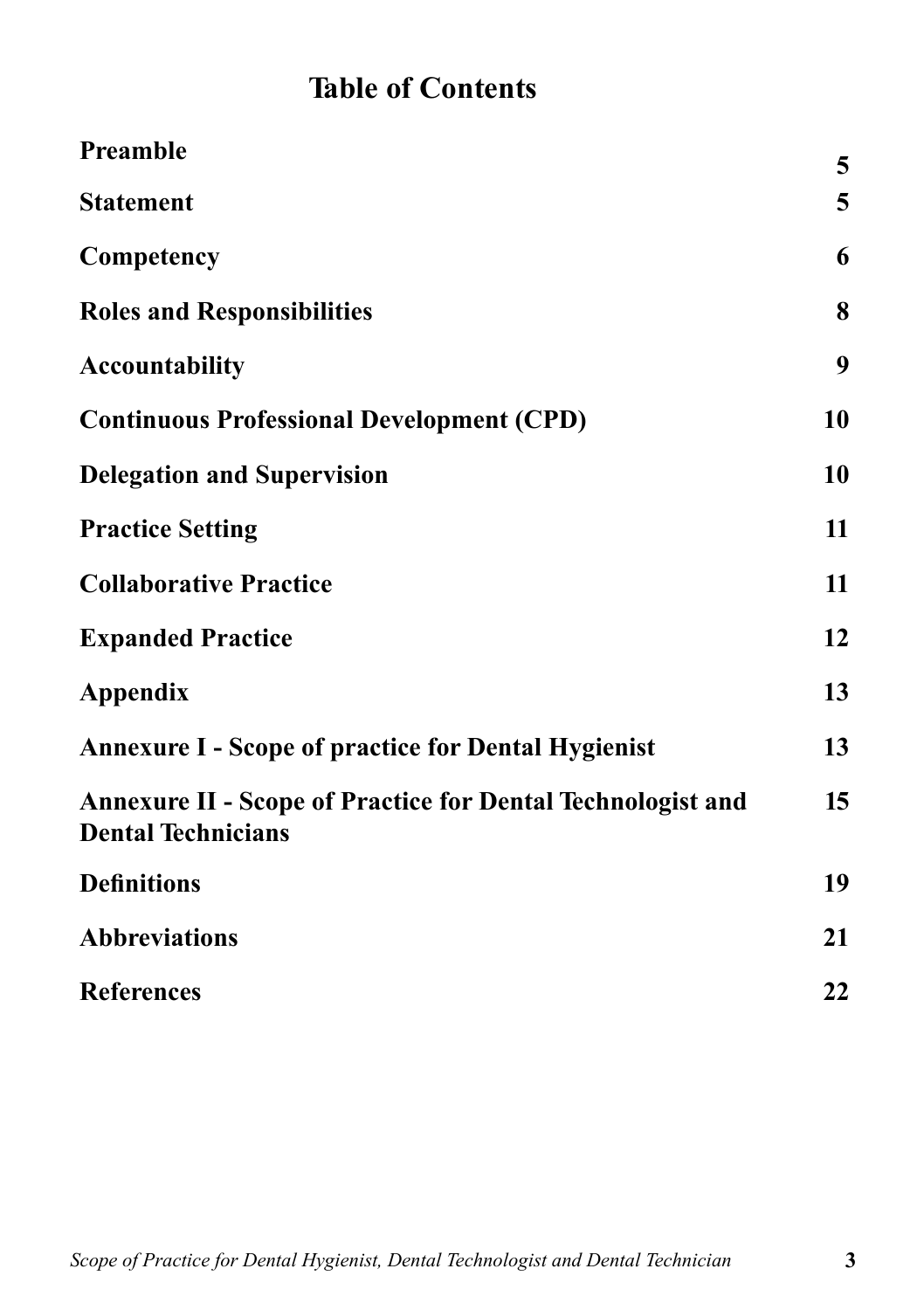# **Table of Contents**

| Preamble                                                                                        | 5  |
|-------------------------------------------------------------------------------------------------|----|
| <b>Statement</b>                                                                                | 5  |
| Competency                                                                                      | 6  |
| <b>Roles and Responsibilities</b>                                                               | 8  |
| <b>Accountability</b>                                                                           | 9  |
| <b>Continuous Professional Development (CPD)</b>                                                | 10 |
| <b>Delegation and Supervision</b>                                                               | 10 |
| <b>Practice Setting</b>                                                                         | 11 |
| <b>Collaborative Practice</b>                                                                   | 11 |
| <b>Expanded Practice</b>                                                                        | 12 |
| <b>Appendix</b>                                                                                 | 13 |
| <b>Annexure I - Scope of practice for Dental Hygienist</b>                                      | 13 |
| <b>Annexure II - Scope of Practice for Dental Technologist and</b><br><b>Dental Technicians</b> | 15 |
| <b>Definitions</b>                                                                              | 19 |
| <b>Abbreviations</b>                                                                            | 21 |
| <b>References</b>                                                                               | 22 |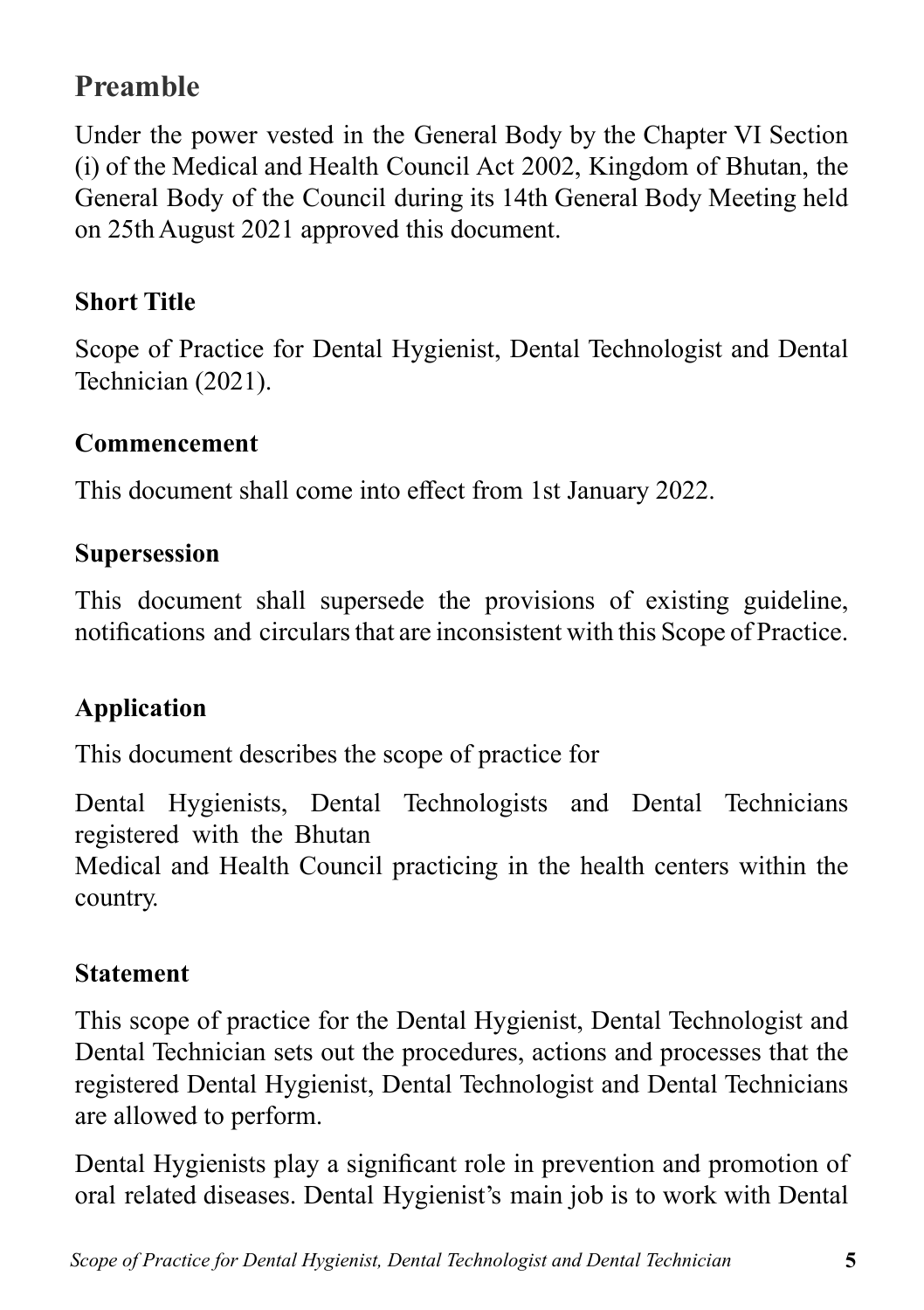# **Preamble**

Under the power vested in the General Body by the Chapter VI Section (i) of the Medical and Health Council Act 2002, Kingdom of Bhutan, the General Body of the Council during its 14th General Body Meeting held on 25th August 2021 approved this document.

## **Short Title**

Scope of Practice for Dental Hygienist, Dental Technologist and Dental Technician (2021).

#### **Commencement**

This document shall come into effect from 1st January 2022.

#### **Supersession**

This document shall supersede the provisions of existing guideline, notifications and circulars that are inconsistent with this Scope of Practice.

#### **Application**

This document describes the scope of practice for

Dental Hygienists, Dental Technologists and Dental Technicians registered with the Bhutan

Medical and Health Council practicing in the health centers within the country.

#### **Statement**

This scope of practice for the Dental Hygienist, Dental Technologist and Dental Technician sets out the procedures, actions and processes that the registered Dental Hygienist, Dental Technologist and Dental Technicians are allowed to perform.

Dental Hygienists play a significant role in prevention and promotion of oral related diseases. Dental Hygienist's main job is to work with Dental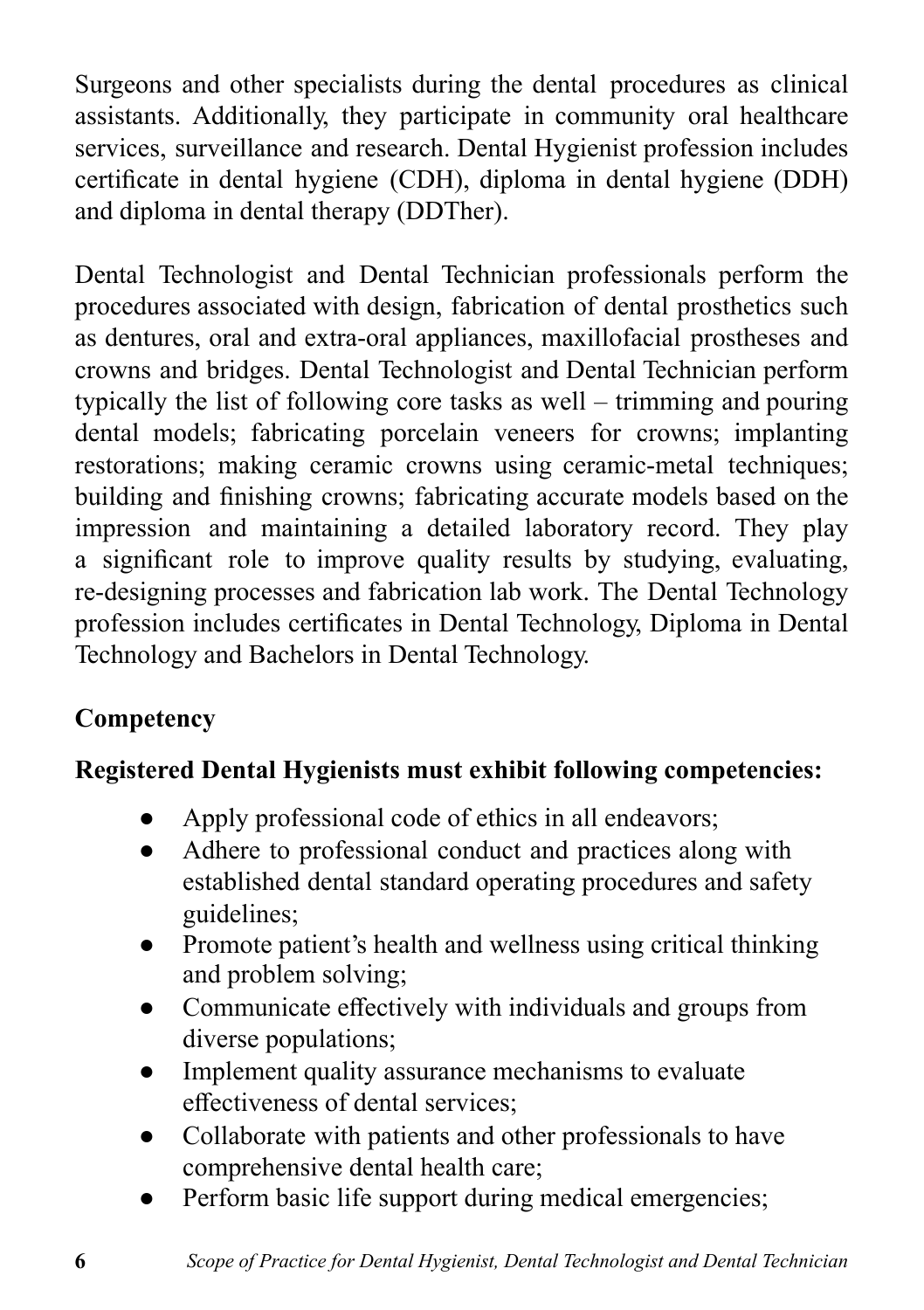Surgeons and other specialists during the dental procedures as clinical assistants. Additionally, they participate in community oral healthcare services, surveillance and research. Dental Hygienist profession includes certificate in dental hygiene (CDH), diploma in dental hygiene (DDH) and diploma in dental therapy (DDTher).

Dental Technologist and Dental Technician professionals perform the procedures associated with design, fabrication of dental prosthetics such as dentures, oral and extra-oral appliances, maxillofacial prostheses and crowns and bridges. Dental Technologist and Dental Technician perform typically the list of following core tasks as well – trimming and pouring dental models; fabricating porcelain veneers for crowns; implanting restorations; making ceramic crowns using ceramic-metal techniques; building and finishing crowns; fabricating accurate models based on the impression and maintaining a detailed laboratory record. They play a significant role to improve quality results by studying, evaluating, re-designing processes and fabrication lab work. The Dental Technology profession includes certificates in Dental Technology, Diploma in Dental Technology and Bachelors in Dental Technology.

## **Competency**

## **Registered Dental Hygienists must exhibit following competencies:**

- Apply professional code of ethics in all endeavors;
- Adhere to professional conduct and practices along with established dental standard operating procedures and safety guidelines;
- Promote patient's health and wellness using critical thinking and problem solving;
- Communicate effectively with individuals and groups from diverse populations;
- Implement quality assurance mechanisms to evaluate effectiveness of dental services;
- Collaborate with patients and other professionals to have comprehensive dental health care;
- Perform basic life support during medical emergencies;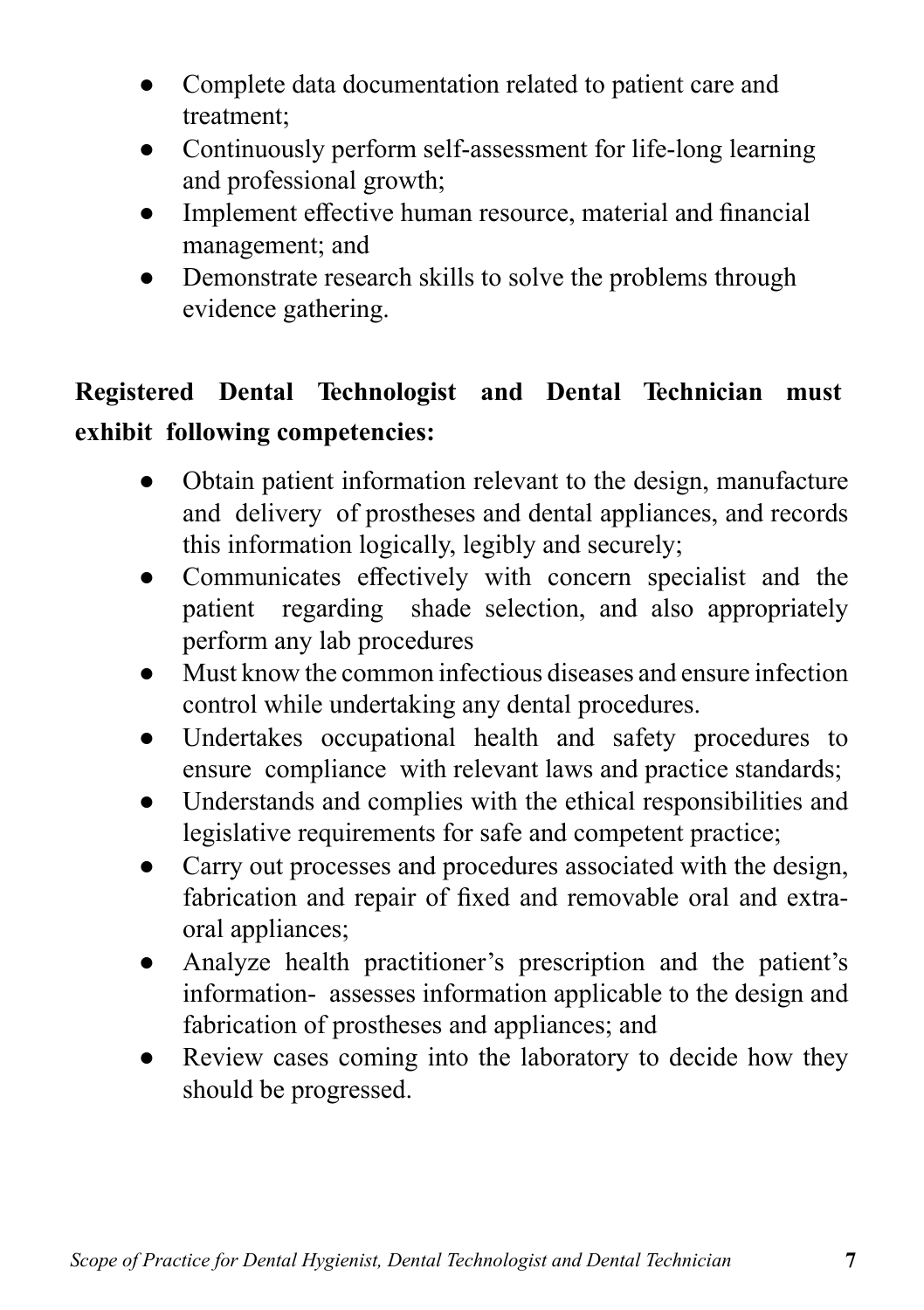- Complete data documentation related to patient care and treatment;
- Continuously perform self-assessment for life-long learning and professional growth;
- Implement effective human resource, material and financial management; and
- Demonstrate research skills to solve the problems through evidence gathering.

# **Registered Dental Technologist and Dental Technician must exhibit following competencies:**

- Obtain patient information relevant to the design, manufacture and delivery of prostheses and dental appliances, and records this information logically, legibly and securely;
- Communicates effectively with concern specialist and the patient regarding shade selection, and also appropriately perform any lab procedures
- Must know the common infectious diseases and ensure infection control while undertaking any dental procedures.
- Undertakes occupational health and safety procedures to ensure compliance with relevant laws and practice standards;
- Understands and complies with the ethical responsibilities and legislative requirements for safe and competent practice;
- Carry out processes and procedures associated with the design, fabrication and repair of fixed and removable oral and extraoral appliances;
- Analyze health practitioner's prescription and the patient's information- assesses information applicable to the design and fabrication of prostheses and appliances; and
- Review cases coming into the laboratory to decide how they should be progressed.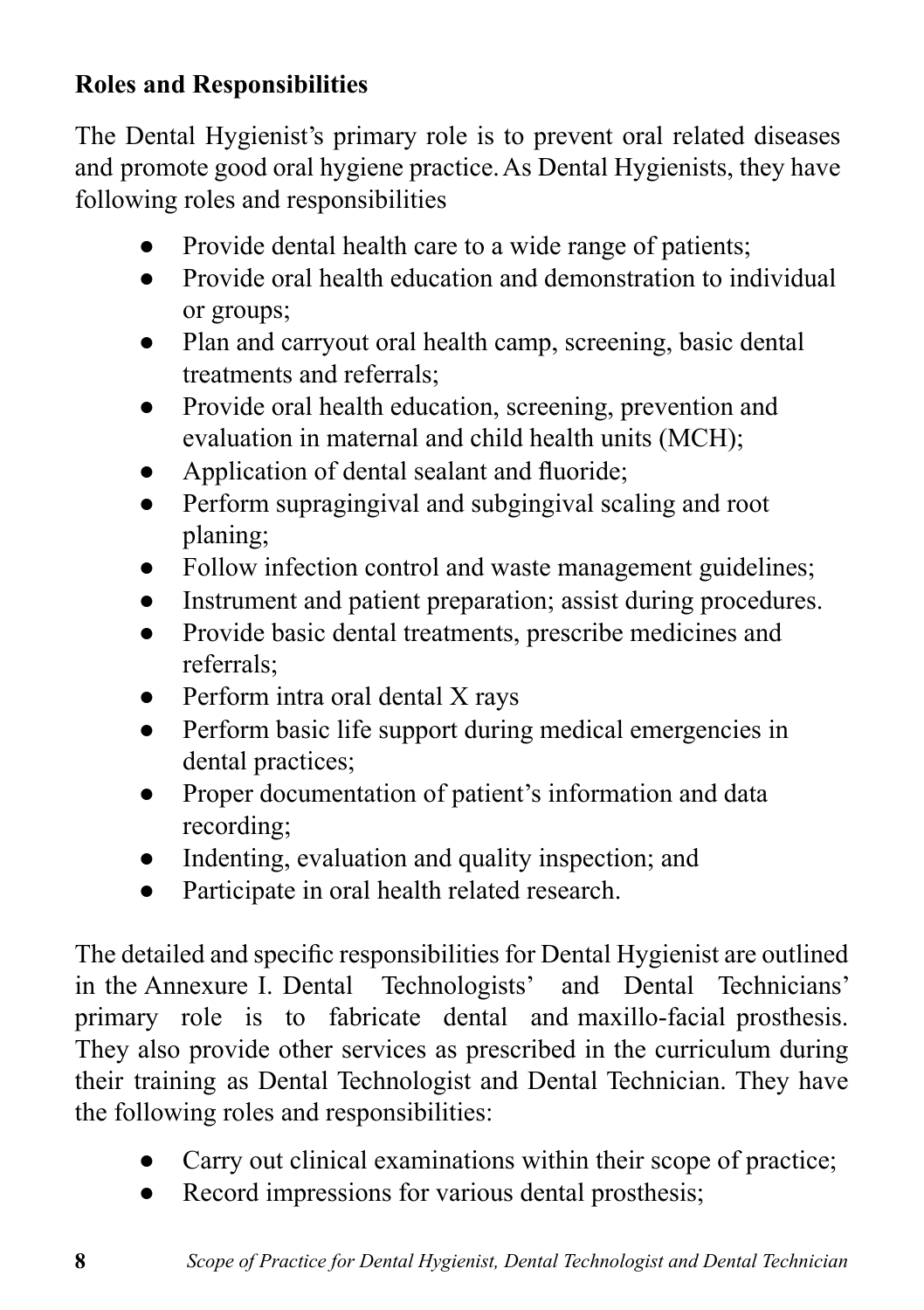## **Roles and Responsibilities**

The Dental Hygienist's primary role is to prevent oral related diseases and promote good oral hygiene practice. As Dental Hygienists, they have following roles and responsibilities

- Provide dental health care to a wide range of patients;
- Provide oral health education and demonstration to individual or groups;
- Plan and carryout oral health camp, screening, basic dental treatments and referrals;
- Provide oral health education, screening, prevention and evaluation in maternal and child health units (MCH);
- Application of dental sealant and fluoride:
- Perform supragingival and subgingival scaling and root planing;
- Follow infection control and waste management guidelines:
- Instrument and patient preparation; assist during procedures.
- Provide basic dental treatments, prescribe medicines and referrals;
- Perform intra oral dental X rays
- Perform basic life support during medical emergencies in dental practices;
- Proper documentation of patient's information and data recording;
- Indenting, evaluation and quality inspection; and
- Participate in oral health related research.

The detailed and specific responsibilities for Dental Hygienist are outlined in the Annexure I. Dental Technologists' and Dental Technicians' primary role is to fabricate dental and maxillo-facial prosthesis. They also provide other services as prescribed in the curriculum during their training as Dental Technologist and Dental Technician. They have the following roles and responsibilities:

- Carry out clinical examinations within their scope of practice;
- Record impressions for various dental prosthesis: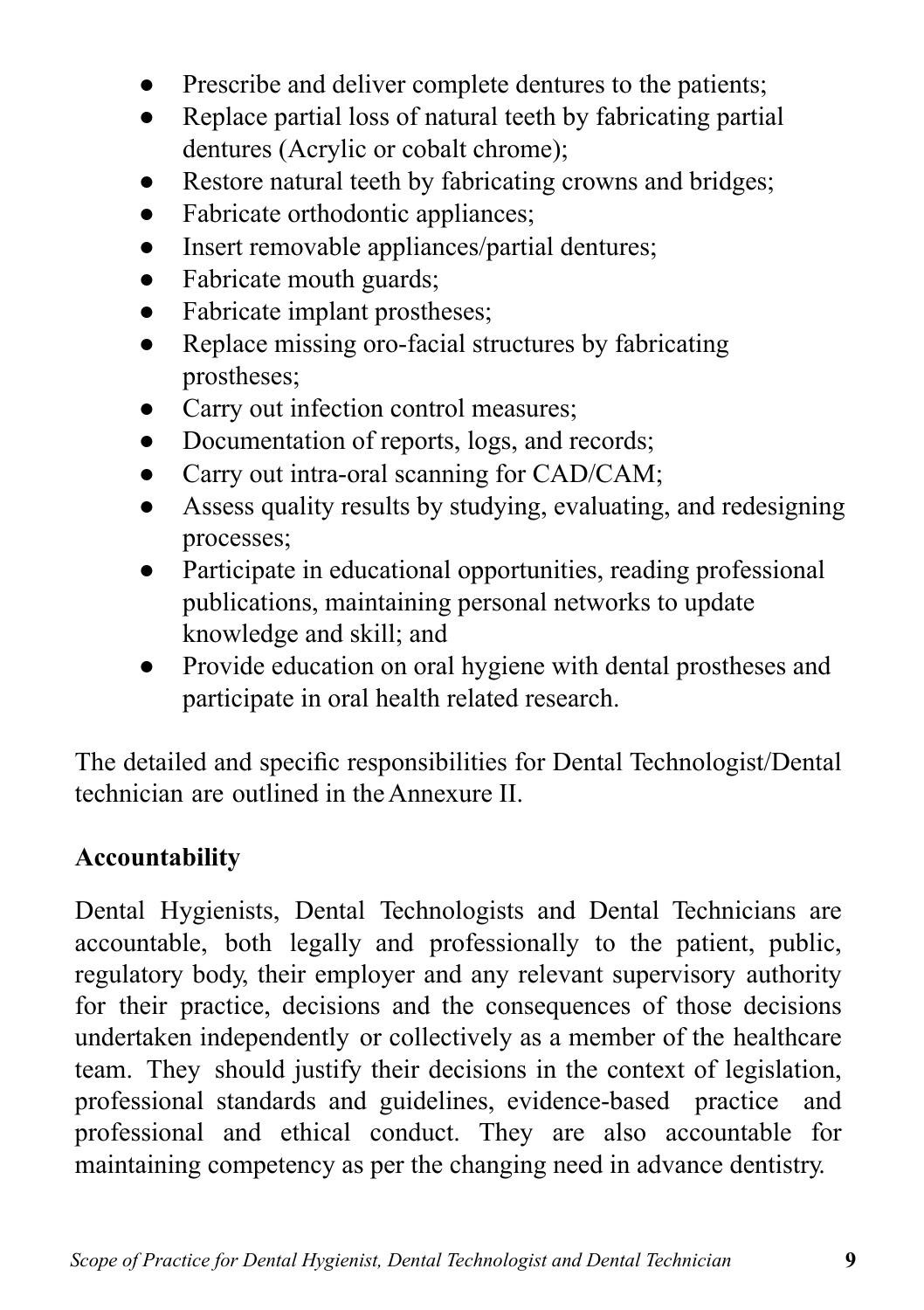- Prescribe and deliver complete dentures to the patients;
- Replace partial loss of natural teeth by fabricating partial dentures (Acrylic or cobalt chrome);
- Restore natural teeth by fabricating crowns and bridges;
- Fabricate orthodontic appliances;
- Insert removable appliances/partial dentures;
- Fabricate mouth guards;
- Fabricate implant prostheses;
- Replace missing oro-facial structures by fabricating prostheses;
- Carry out infection control measures;
- Documentation of reports, logs, and records;
- Carry out intra-oral scanning for CAD/CAM;
- Assess quality results by studying, evaluating, and redesigning processes;
- Participate in educational opportunities, reading professional publications, maintaining personal networks to update knowledge and skill; and
- Provide education on oral hygiene with dental prostheses and participate in oral health related research.

The detailed and specific responsibilities for Dental Technologist/Dental technician are outlined in the Annexure II.

#### **Accountability**

Dental Hygienists, Dental Technologists and Dental Technicians are accountable, both legally and professionally to the patient, public, regulatory body, their employer and any relevant supervisory authority for their practice, decisions and the consequences of those decisions undertaken independently or collectively as a member of the healthcare team. They should justify their decisions in the context of legislation, professional standards and guidelines, evidence-based practice and professional and ethical conduct. They are also accountable for maintaining competency as per the changing need in advance dentistry.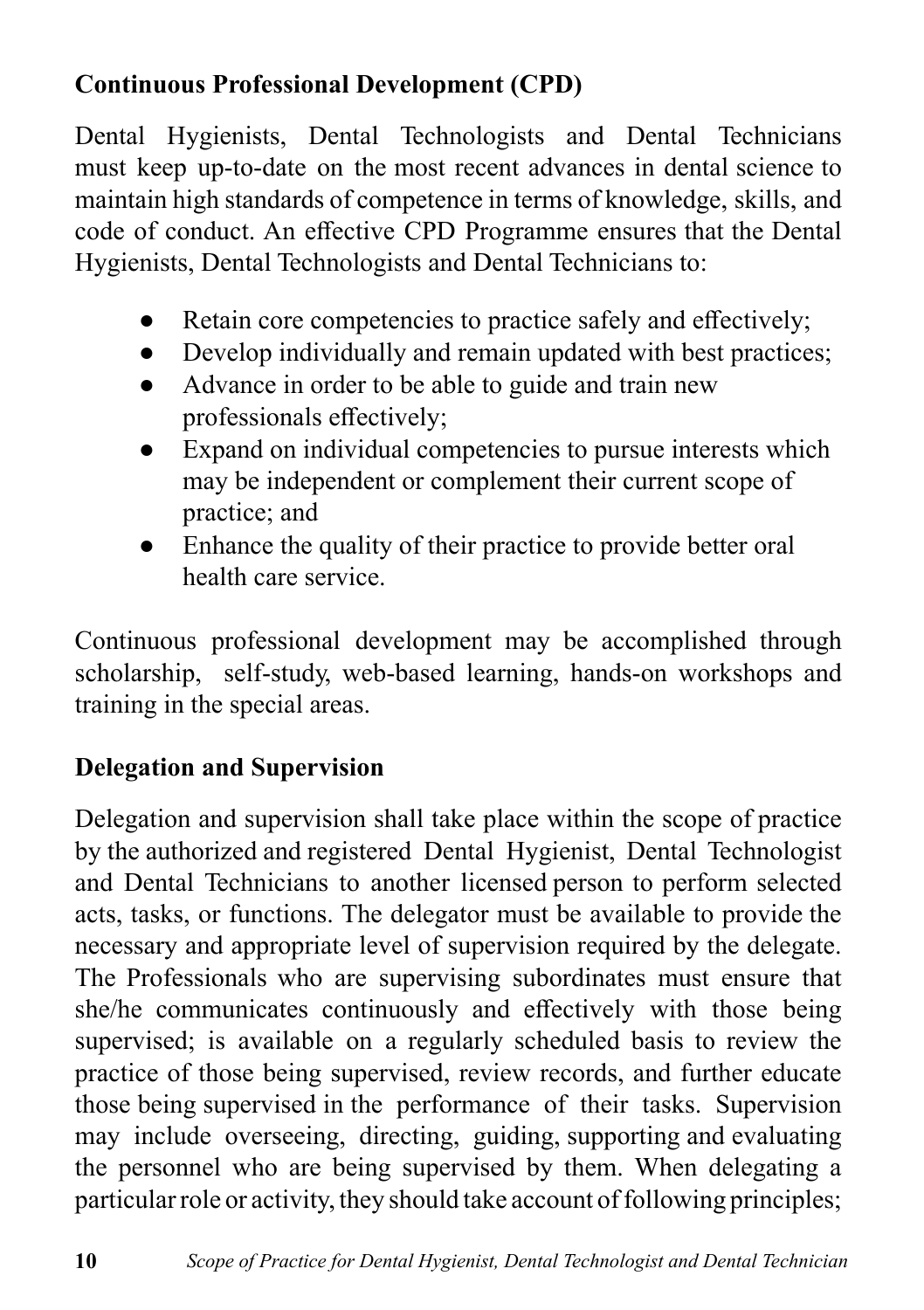### **Continuous Professional Development (CPD)**

Dental Hygienists, Dental Technologists and Dental Technicians must keep up-to-date on the most recent advances in dental science to maintain high standards of competence in terms of knowledge, skills, and code of conduct. An effective CPD Programme ensures that the Dental Hygienists, Dental Technologists and Dental Technicians to:

- Retain core competencies to practice safely and effectively;
- Develop individually and remain updated with best practices;
- Advance in order to be able to guide and train new professionals effectively;
- Expand on individual competencies to pursue interests which may be independent or complement their current scope of practice; and
- Enhance the quality of their practice to provide better oral health care service.

Continuous professional development may be accomplished through scholarship, self-study, web-based learning, hands-on workshops and training in the special areas.

### **Delegation and Supervision**

Delegation and supervision shall take place within the scope of practice by the authorized and registered Dental Hygienist, Dental Technologist and Dental Technicians to another licensed person to perform selected acts, tasks, or functions. The delegator must be available to provide the necessary and appropriate level of supervision required by the delegate. The Professionals who are supervising subordinates must ensure that she/he communicates continuously and effectively with those being supervised; is available on a regularly scheduled basis to review the practice of those being supervised, review records, and further educate those being supervised in the performance of their tasks. Supervision may include overseeing, directing, guiding, supporting and evaluating the personnel who are being supervised by them. When delegating a particular role or activity, they should take account of following principles;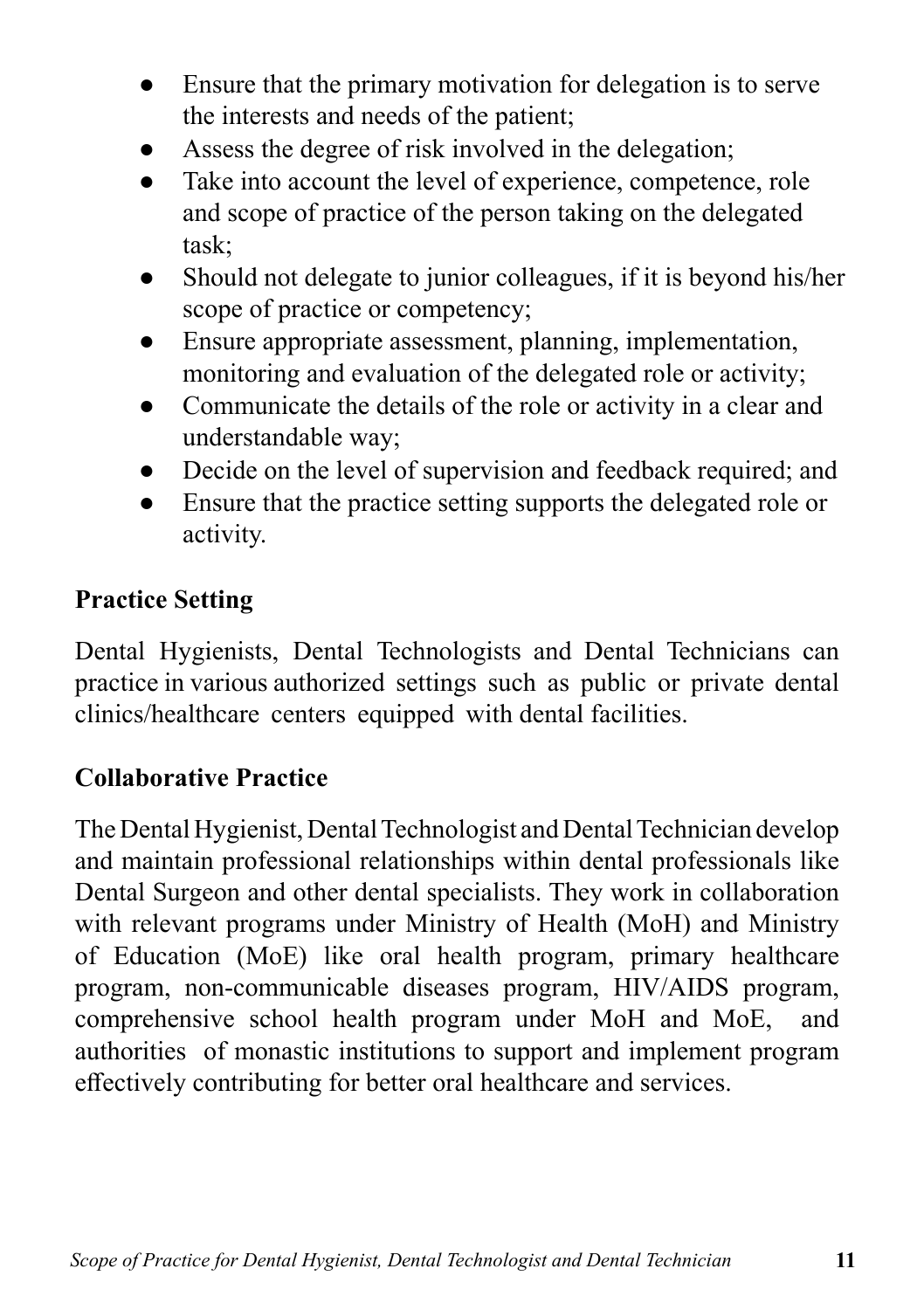- Ensure that the primary motivation for delegation is to serve the interests and needs of the patient;
- Assess the degree of risk involved in the delegation;
- Take into account the level of experience, competence, role and scope of practice of the person taking on the delegated task;
- Should not delegate to junior colleagues, if it is beyond his/her scope of practice or competency;
- Ensure appropriate assessment, planning, implementation, monitoring and evaluation of the delegated role or activity;
- Communicate the details of the role or activity in a clear and understandable way;
- Decide on the level of supervision and feedback required; and
- Ensure that the practice setting supports the delegated role or activity.

### **Practice Setting**

Dental Hygienists, Dental Technologists and Dental Technicians can practice in various authorized settings such as public or private dental clinics/healthcare centers equipped with dental facilities.

#### **Collaborative Practice**

The Dental Hygienist, Dental Technologist and Dental Technician develop and maintain professional relationships within dental professionals like Dental Surgeon and other dental specialists. They work in collaboration with relevant programs under Ministry of Health (MoH) and Ministry of Education (MoE) like oral health program, primary healthcare program, non-communicable diseases program, HIV/AIDS program, comprehensive school health program under MoH and MoE, and authorities of monastic institutions to support and implement program effectively contributing for better oral healthcare and services.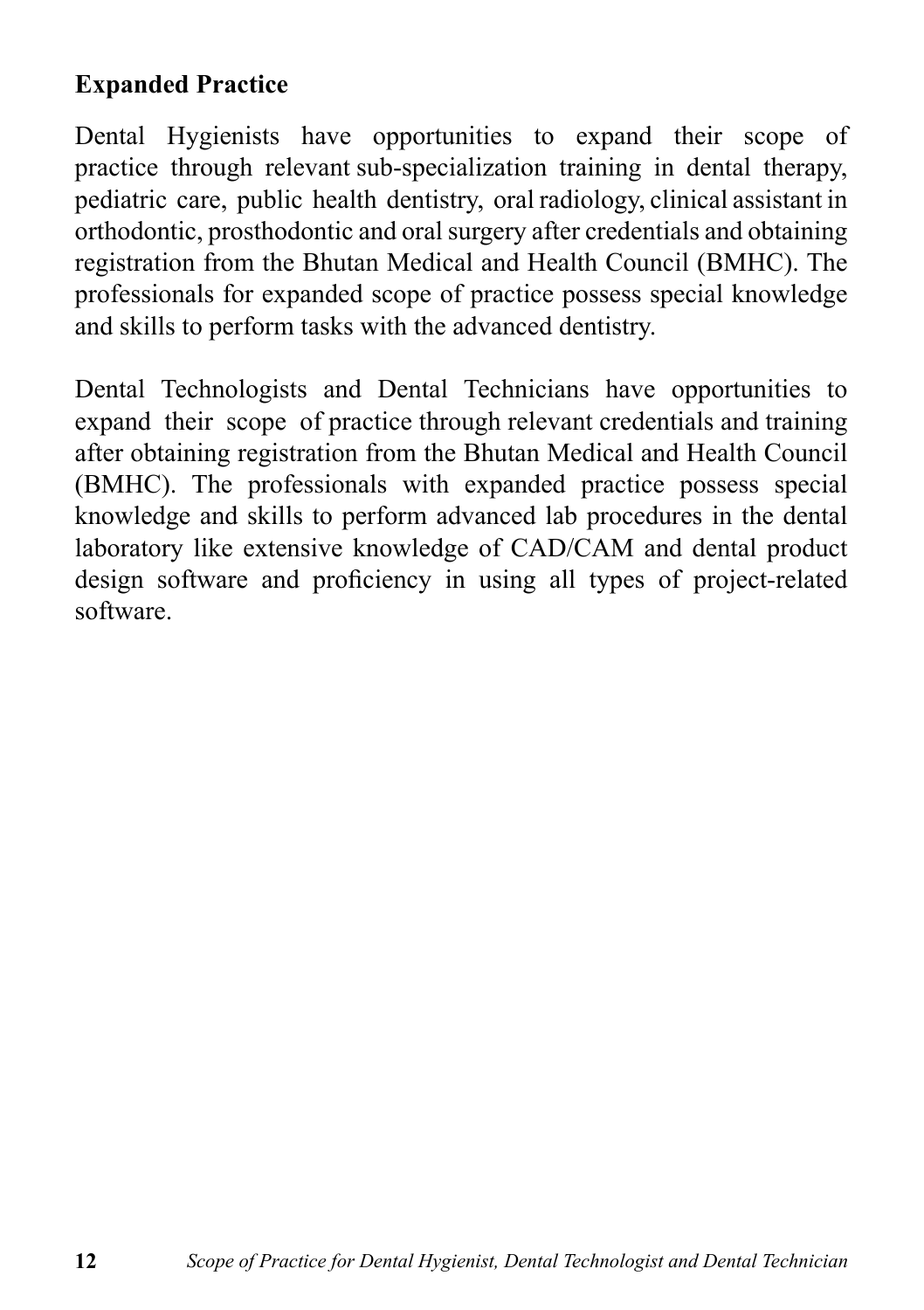### **Expanded Practice**

Dental Hygienists have opportunities to expand their scope of practice through relevant sub-specialization training in dental therapy, pediatric care, public health dentistry, oral radiology, clinical assistant in orthodontic, prosthodontic and oral surgery after credentials and obtaining registration from the Bhutan Medical and Health Council (BMHC). The professionals for expanded scope of practice possess special knowledge and skills to perform tasks with the advanced dentistry.

Dental Technologists and Dental Technicians have opportunities to expand their scope of practice through relevant credentials and training after obtaining registration from the Bhutan Medical and Health Council (BMHC). The professionals with expanded practice possess special knowledge and skills to perform advanced lab procedures in the dental laboratory like extensive knowledge of CAD/CAM and dental product design software and proficiency in using all types of project-related software.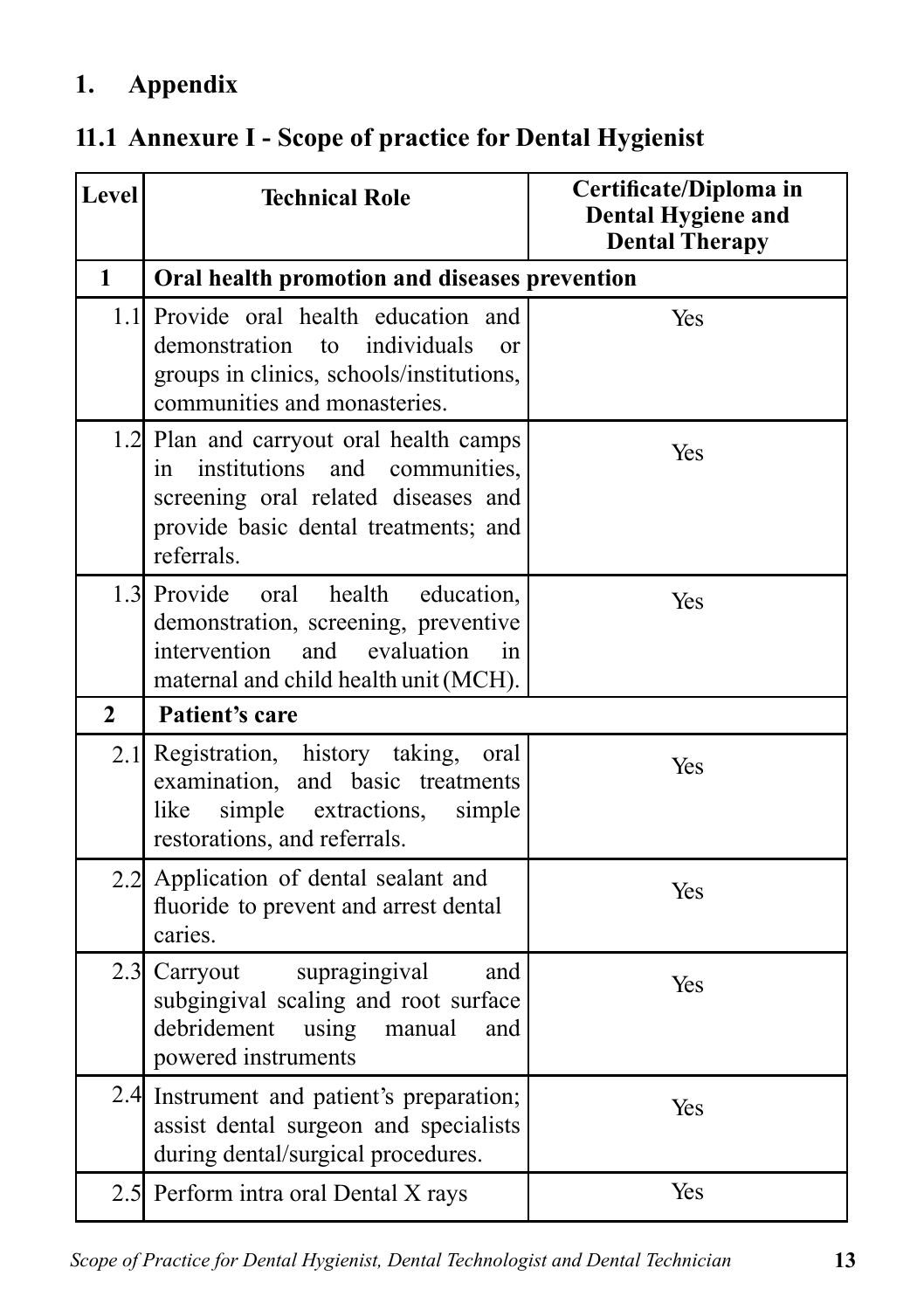# **1. Appendix**

|  | 11.1 Annexure I - Scope of practice for Dental Hygienist |  |  |  |  |  |  |  |  |
|--|----------------------------------------------------------|--|--|--|--|--|--|--|--|
|--|----------------------------------------------------------|--|--|--|--|--|--|--|--|

| <b>Level</b>   | <b>Technical Role</b>                                                                                                                                                          | Certificate/Diploma in<br><b>Dental Hygiene and</b><br><b>Dental Therapy</b> |
|----------------|--------------------------------------------------------------------------------------------------------------------------------------------------------------------------------|------------------------------------------------------------------------------|
| $\mathbf{1}$   | Oral health promotion and diseases prevention                                                                                                                                  |                                                                              |
|                | 1.1 Provide oral health education and<br>demonstration<br>individuals<br>to<br>$\alpha$ r<br>groups in clinics, schools/institutions,<br>communities and monasteries.          | Yes                                                                          |
|                | 1.2 Plan and carryout oral health camps<br>institutions and<br>communities,<br>in<br>screening oral related diseases and<br>provide basic dental treatments; and<br>referrals. | Yes                                                                          |
|                | 1.3 Provide<br>health<br>oral<br>education,<br>demonstration, screening, preventive<br>intervention<br>and<br>evaluation<br>in<br>maternal and child health unit (MCH).        | Yes                                                                          |
| $\overline{2}$ | Patient's care                                                                                                                                                                 |                                                                              |
|                | 2.1 Registration, history taking,<br>oral<br>examination, and basic treatments<br>simple<br>extractions,<br>like<br>simple<br>restorations, and referrals.                     | Yes                                                                          |
|                | 2.2 Application of dental sealant and<br>fluoride to prevent and arrest dental<br>caries.                                                                                      | Yes                                                                          |
| 2.3            | supragingival<br>and<br>Carryout<br>subgingival scaling and root surface<br>debridement<br>using<br>manual<br>and<br>powered instruments                                       | Yes                                                                          |
|                | 2.4 Instrument and patient's preparation;<br>assist dental surgeon and specialists<br>during dental/surgical procedures.                                                       | Yes                                                                          |
|                | 2.5 Perform intra oral Dental X rays                                                                                                                                           | Yes                                                                          |

*Scope of Practice for Dental Hygienist, Dental Technologist and Dental Technician* **13**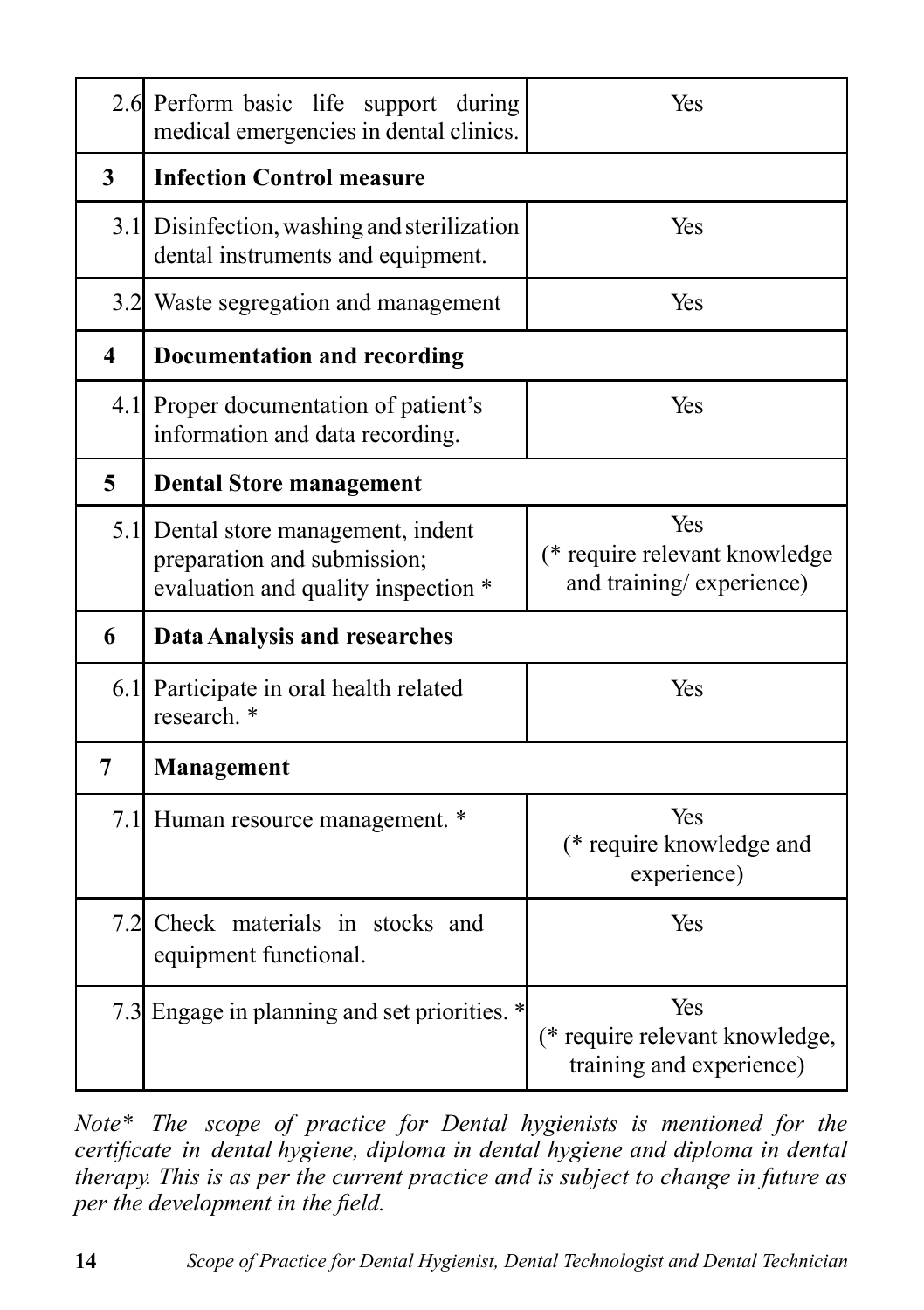|                         | 2.6 Perform basic life support during<br>medical emergencies in dental clinics.                           | Yes                                                               |
|-------------------------|-----------------------------------------------------------------------------------------------------------|-------------------------------------------------------------------|
| $\overline{3}$          | <b>Infection Control measure</b>                                                                          |                                                                   |
|                         | 3.1 Disinfection, washing and sterilization<br>dental instruments and equipment.                          | Yes                                                               |
|                         | 3.2 Waste segregation and management                                                                      | Yes                                                               |
| $\overline{\mathbf{4}}$ | <b>Documentation and recording</b>                                                                        |                                                                   |
|                         | 4.1 Proper documentation of patient's<br>information and data recording.                                  | Yes                                                               |
| 5                       | <b>Dental Store management</b>                                                                            |                                                                   |
|                         | 5.1 Dental store management, indent<br>preparation and submission;<br>evaluation and quality inspection * | Yes<br>(* require relevant knowledge<br>and training/experience)  |
| 6                       | <b>Data Analysis and researches</b>                                                                       |                                                                   |
|                         | 6.1 Participate in oral health related<br>research. *                                                     | Yes                                                               |
| $\overline{7}$          | <b>Management</b>                                                                                         |                                                                   |
|                         | 7.1 Human resource management. *                                                                          | Yes<br>(* require knowledge and<br>experience)                    |
|                         | 7.2 Check materials in stocks and<br>equipment functional.                                                | Yes                                                               |
|                         | 7.3 Engage in planning and set priorities. *                                                              | Yes<br>(* require relevant knowledge,<br>training and experience) |

*Note\* The scope of practice for Dental hygienists is mentioned for the certificate in dental hygiene, diploma in dental hygiene and diploma in dental therapy. This is as per the current practice and is subject to change in future as per the development in the field.*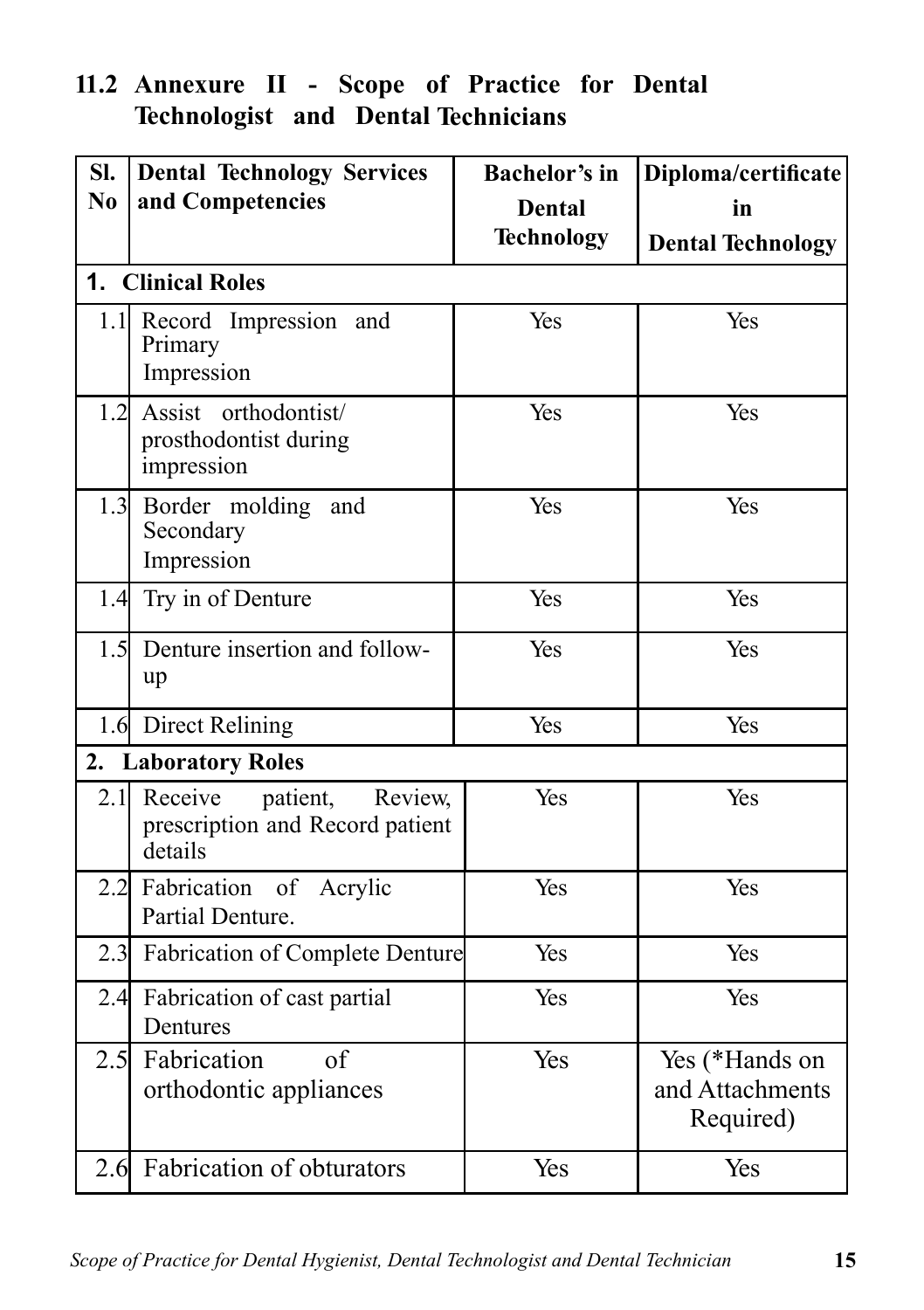### **11.2 Annexure II - Scope of Practice for Dental Technologist and Dental Technicians**

| SI. | <b>Dental Technology Services</b>                                            | <b>Bachelor's in</b> | Diploma/certificate                            |
|-----|------------------------------------------------------------------------------|----------------------|------------------------------------------------|
| No  | and Competencies                                                             | <b>Dental</b>        | in                                             |
|     |                                                                              | <b>Technology</b>    | <b>Dental Technology</b>                       |
|     | 1. Clinical Roles                                                            |                      |                                                |
|     | 1.1 Record Impression and<br>Primary<br>Impression                           | Yes                  | Yes                                            |
|     | 1.2 Assist orthodontist/<br>prosthodontist during<br>impression              | Yes                  | Yes                                            |
|     | 1.3 Border molding<br>and<br>Secondary<br>Impression                         | Yes                  | Yes                                            |
| 1.4 | Try in of Denture                                                            | Yes                  | Yes                                            |
| 1.5 | Denture insertion and follow-<br>up                                          | Yes                  | Yes                                            |
|     | 1.6 Direct Relining                                                          | Yes                  | Yes                                            |
|     | 2. Laboratory Roles                                                          |                      |                                                |
| 2.1 | Receive<br>patient,<br>Review,<br>prescription and Record patient<br>details | Yes                  | Yes                                            |
|     | 2.2 Fabrication of Acrylic<br>Partial Denture.                               | Yes                  | Yes                                            |
|     | 2.3 Fabrication of Complete Denture                                          | Yes                  | Yes                                            |
|     | 2.4 Fabrication of cast partial<br>Dentures                                  | Yes                  | Yes                                            |
|     | 2.5 Fabrication<br>of<br>orthodontic appliances                              | Yes                  | Yes (*Hands on<br>and Attachments<br>Required) |
|     | 2.6 Fabrication of obturators                                                | Yes                  | Yes                                            |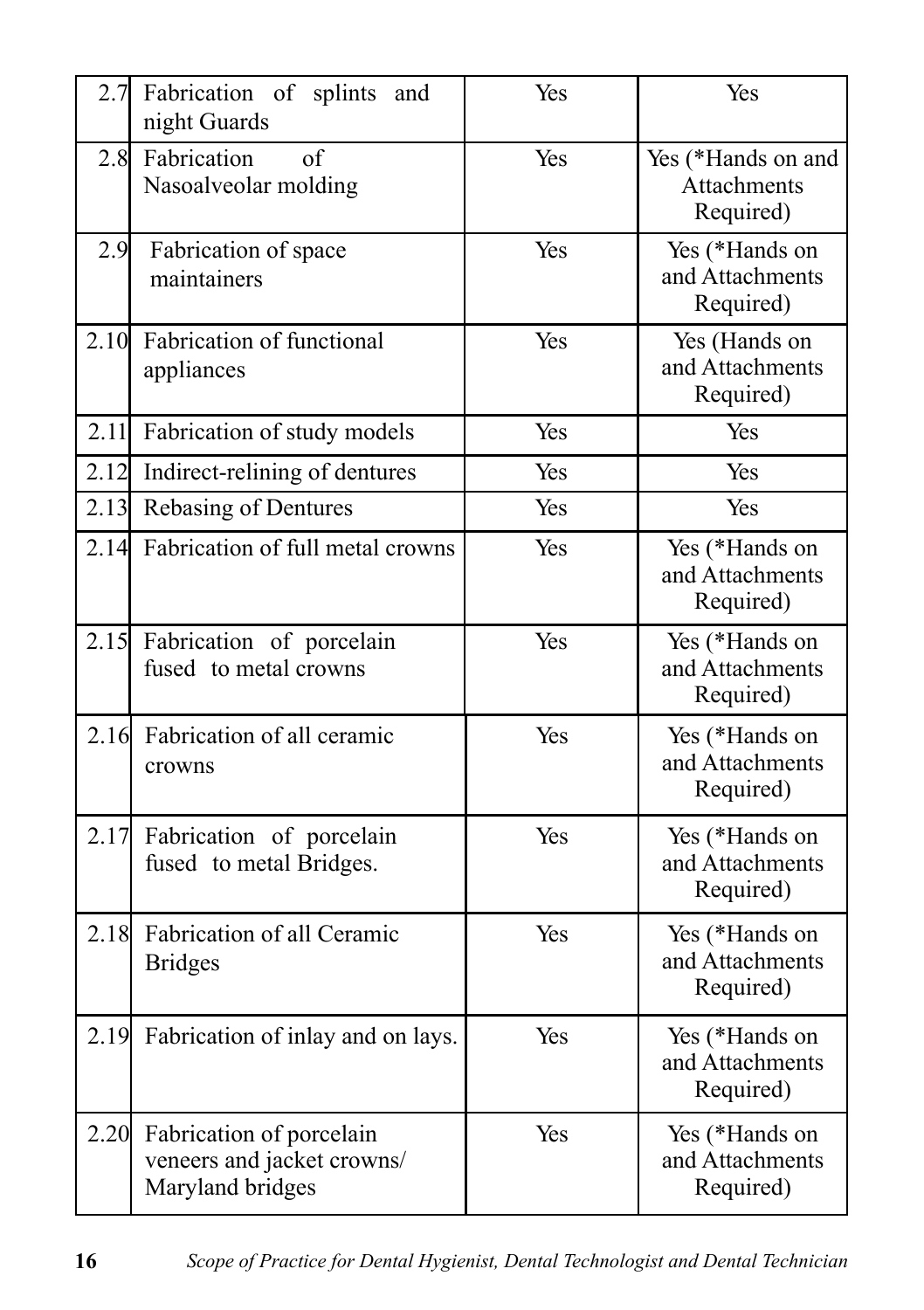| 2.7  | Fabrication of splints<br>and<br>night Guards                              | Yes | Yes                                            |
|------|----------------------------------------------------------------------------|-----|------------------------------------------------|
| 2.8  | Fabrication<br>of<br>Nasoalveolar molding                                  | Yes | Yes (*Hands on and<br>Attachments<br>Required) |
| 2.9  | Fabrication of space<br>maintainers                                        | Yes | Yes (*Hands on<br>and Attachments<br>Required) |
|      | 2.10 Fabrication of functional<br>appliances                               | Yes | Yes (Hands on<br>and Attachments<br>Required)  |
|      | 2.11 Fabrication of study models                                           | Yes | Yes                                            |
| 2.12 | Indirect-relining of dentures                                              | Yes | Yes                                            |
|      | 2.13 Rebasing of Dentures                                                  | Yes | Yes                                            |
|      | 2.14 Fabrication of full metal crowns                                      | Yes | Yes (*Hands on<br>and Attachments<br>Required) |
| 2.15 | Fabrication of porcelain<br>fused to metal crowns                          | Yes | Yes (*Hands on<br>and Attachments<br>Required) |
| 2.16 | Fabrication of all ceramic<br>crowns                                       | Yes | Yes (*Hands on<br>and Attachments<br>Required) |
| 2.17 | Fabrication of porcelain<br>fused to metal Bridges.                        | Yes | Yes (*Hands on<br>and Attachments<br>Required) |
| 2.18 | Fabrication of all Ceramic<br><b>Bridges</b>                               | Yes | Yes (*Hands on<br>and Attachments<br>Required) |
|      | 2.19 Fabrication of inlay and on lays.                                     | Yes | Yes (*Hands on<br>and Attachments<br>Required) |
| 2.20 | Fabrication of porcelain<br>veneers and jacket crowns/<br>Maryland bridges | Yes | Yes (*Hands on<br>and Attachments<br>Required) |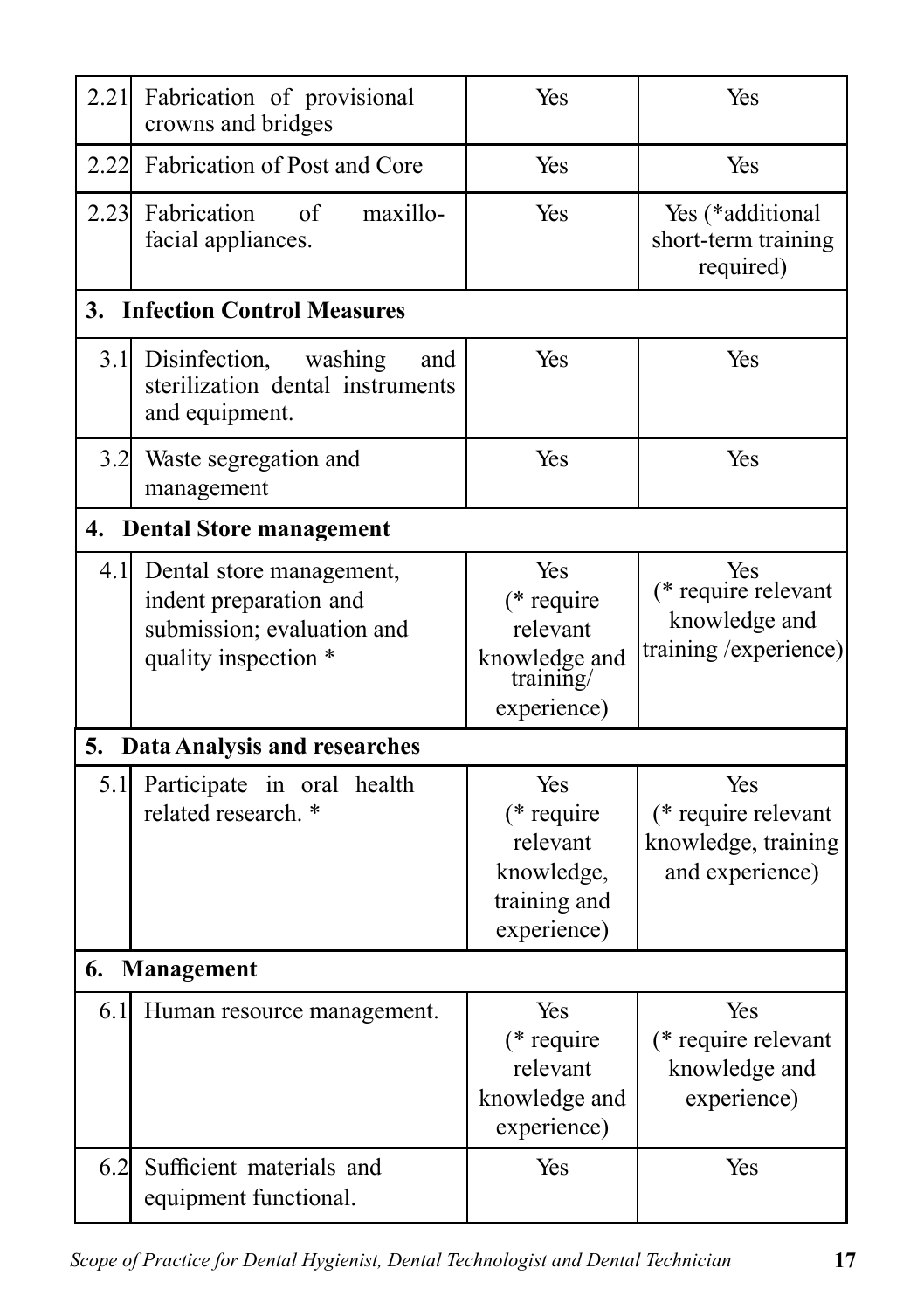| 2.21 | Fabrication of provisional<br>crowns and bridges                                                         | Yes                                                                          | Yes                                                                   |
|------|----------------------------------------------------------------------------------------------------------|------------------------------------------------------------------------------|-----------------------------------------------------------------------|
| 2.22 | Fabrication of Post and Core                                                                             | Yes                                                                          | Yes                                                                   |
| 2.23 | Fabrication<br>of<br>maxillo-<br>facial appliances.                                                      | Yes                                                                          | Yes (*additional<br>short-term training<br>required)                  |
| 3.   | <b>Infection Control Measures</b>                                                                        |                                                                              |                                                                       |
| 3.1  | Disinfection,<br>washing<br>and<br>sterilization dental instruments<br>and equipment.                    | Yes                                                                          | Yes                                                                   |
| 3.2  | Waste segregation and<br>management                                                                      | Yes                                                                          | Yes                                                                   |
| 4.   | <b>Dental Store management</b>                                                                           |                                                                              |                                                                       |
| 4.1  | Dental store management,<br>indent preparation and<br>submission; evaluation and<br>quality inspection * | Yes<br>(* require<br>relevant<br>knowledge and<br>training/<br>experience)   | Yes<br>(* require relevant<br>knowledge and<br>training / experience) |
| 5.   | <b>Data Analysis and researches</b>                                                                      |                                                                              |                                                                       |
| 5.1  | Participate in oral health<br>related research. *                                                        | Yes<br>$(*$ require<br>relevant<br>knowledge,<br>training and<br>experience) | Yes<br>(* require relevant<br>knowledge, training<br>and experience)  |
| 6.   | Management                                                                                               |                                                                              |                                                                       |
| 6.1  | Human resource management.                                                                               | Yes<br>$(*$ require<br>relevant<br>knowledge and<br>experience)              | Yes<br>(* require relevant<br>knowledge and<br>experience)            |
| 6.2  | Sufficient materials and<br>equipment functional.                                                        | Yes                                                                          | Yes                                                                   |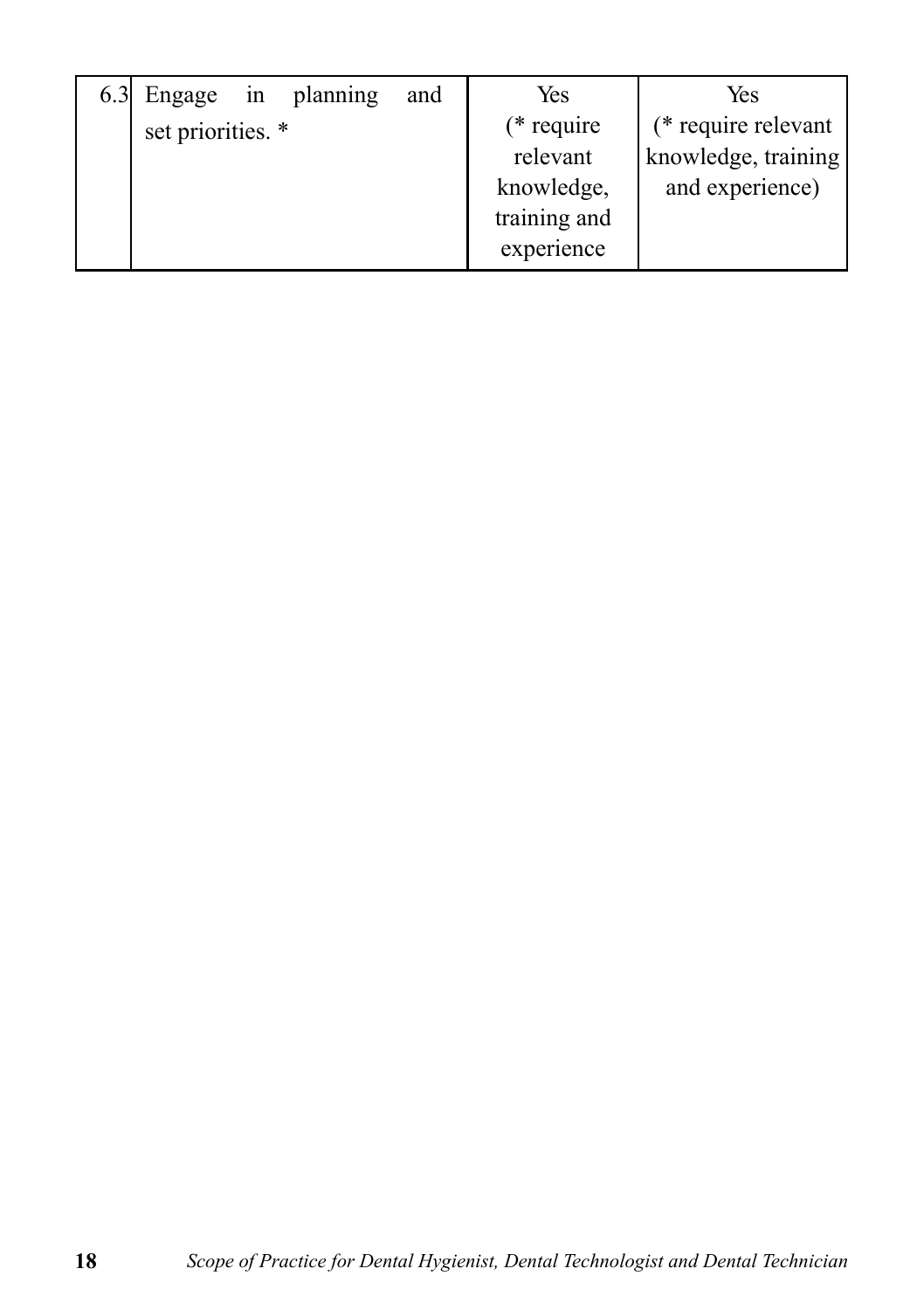| 6.3 Engage in     | planning | and | Yes          | Yes                 |
|-------------------|----------|-----|--------------|---------------------|
| set priorities. * |          |     | $(*$ require | (* require relevant |
|                   |          |     | relevant     | knowledge, training |
|                   |          |     | knowledge,   | and experience)     |
|                   |          |     | training and |                     |
|                   |          |     | experience   |                     |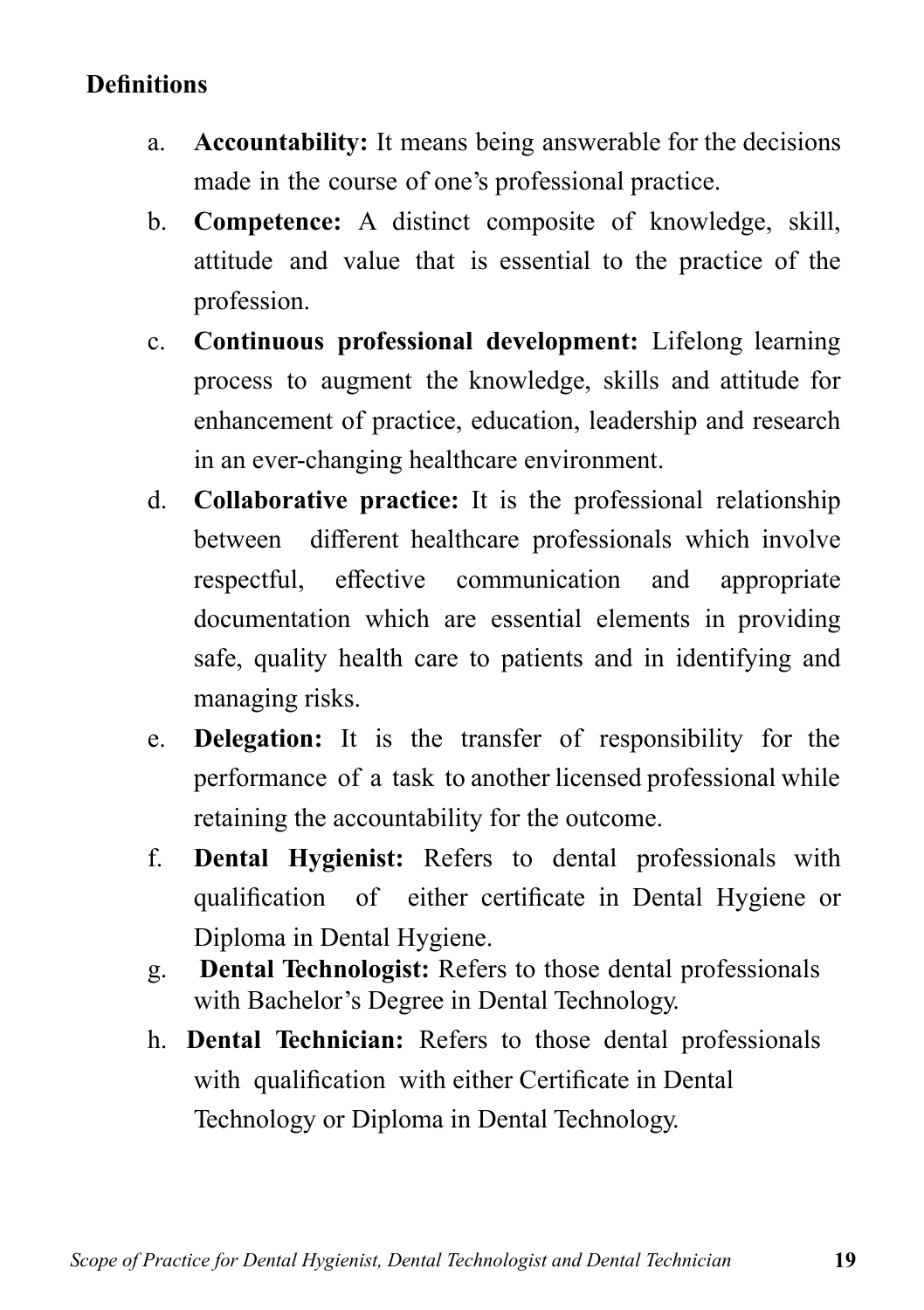### **Definitions**

- a. **Accountability:** It means being answerable for the decisions made in the course of one's professional practice.
- b. **Competence:** A distinct composite of knowledge, skill, attitude and value that is essential to the practice of the profession.
- c. **Continuous professional development:** Lifelong learning process to augment the knowledge, skills and attitude for enhancement of practice, education, leadership and research in an ever-changing healthcare environment.
- d. **Collaborative practice:** It is the professional relationship between different healthcare professionals which involve respectful, effective communication and appropriate documentation which are essential elements in providing safe, quality health care to patients and in identifying and managing risks.
- e. **Delegation:** It is the transfer of responsibility for the performance of a task to another licensed professional while retaining the accountability for the outcome.
- f. **Dental Hygienist:** Refers to dental professionals with qualification of either certificate in Dental Hygiene or Diploma in Dental Hygiene.
- g. **Dental Technologist:** Refers to those dental professionals with Bachelor's Degree in Dental Technology.
- h. **Dental Technician:** Refers to those dental professionals with qualification with either Certificate in Dental Technology or Diploma in Dental Technology.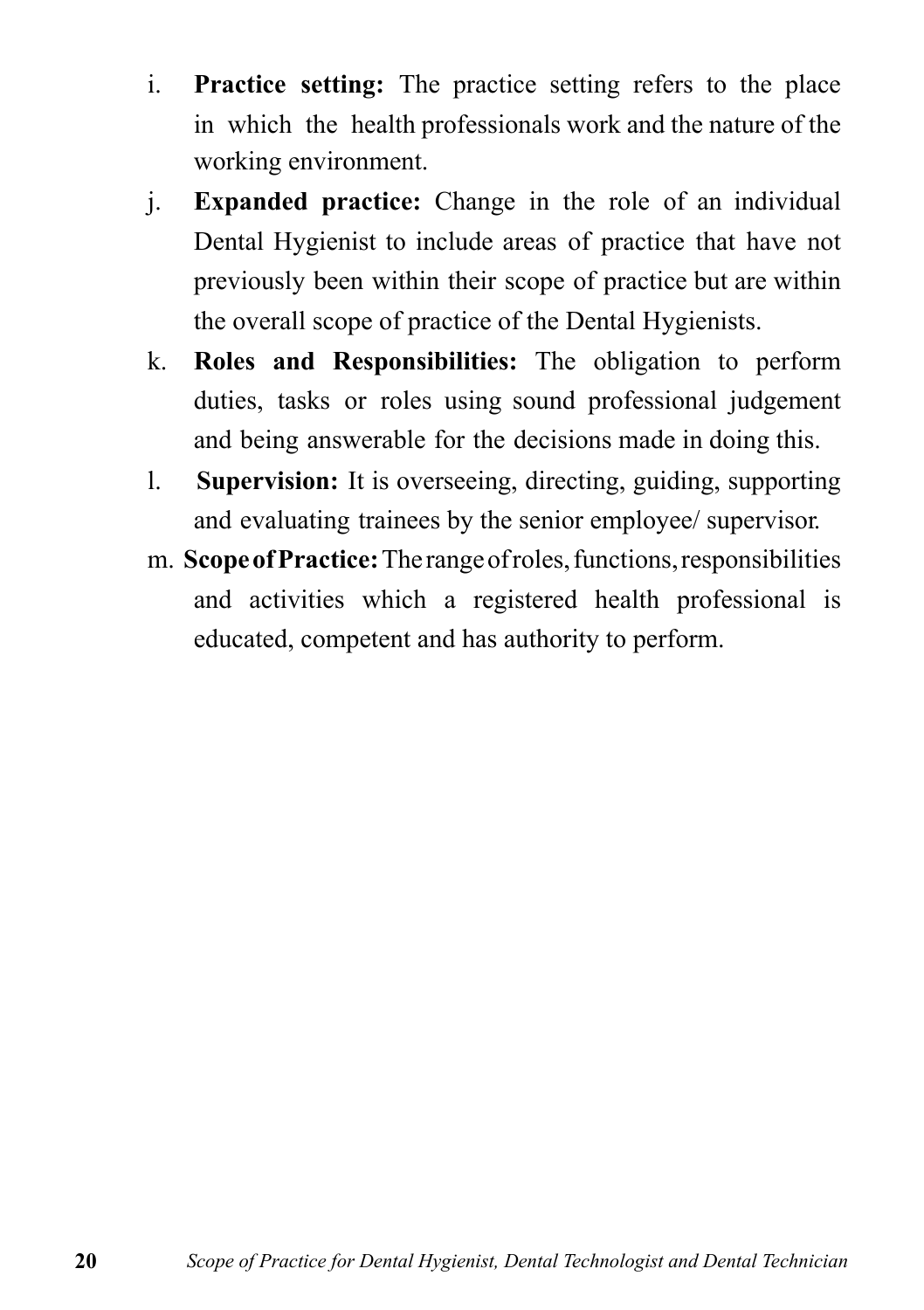- i. **Practice setting:** The practice setting refers to the place in which the health professionals work and the nature of the working environment.
- j. **Expanded practice:** Change in the role of an individual Dental Hygienist to include areas of practice that have not previously been within their scope of practice but are within the overall scope of practice of the Dental Hygienists.
- k. **Roles and Responsibilities:** The obligation to perform duties, tasks or roles using sound professional judgement and being answerable for the decisions made in doing this.
- l. **Supervision:** It is overseeing, directing, guiding, supporting and evaluating trainees by the senior employee/ supervisor.
- m. **Scope of Practice:** The range of roles, functions, responsibilities and activities which a registered health professional is educated, competent and has authority to perform.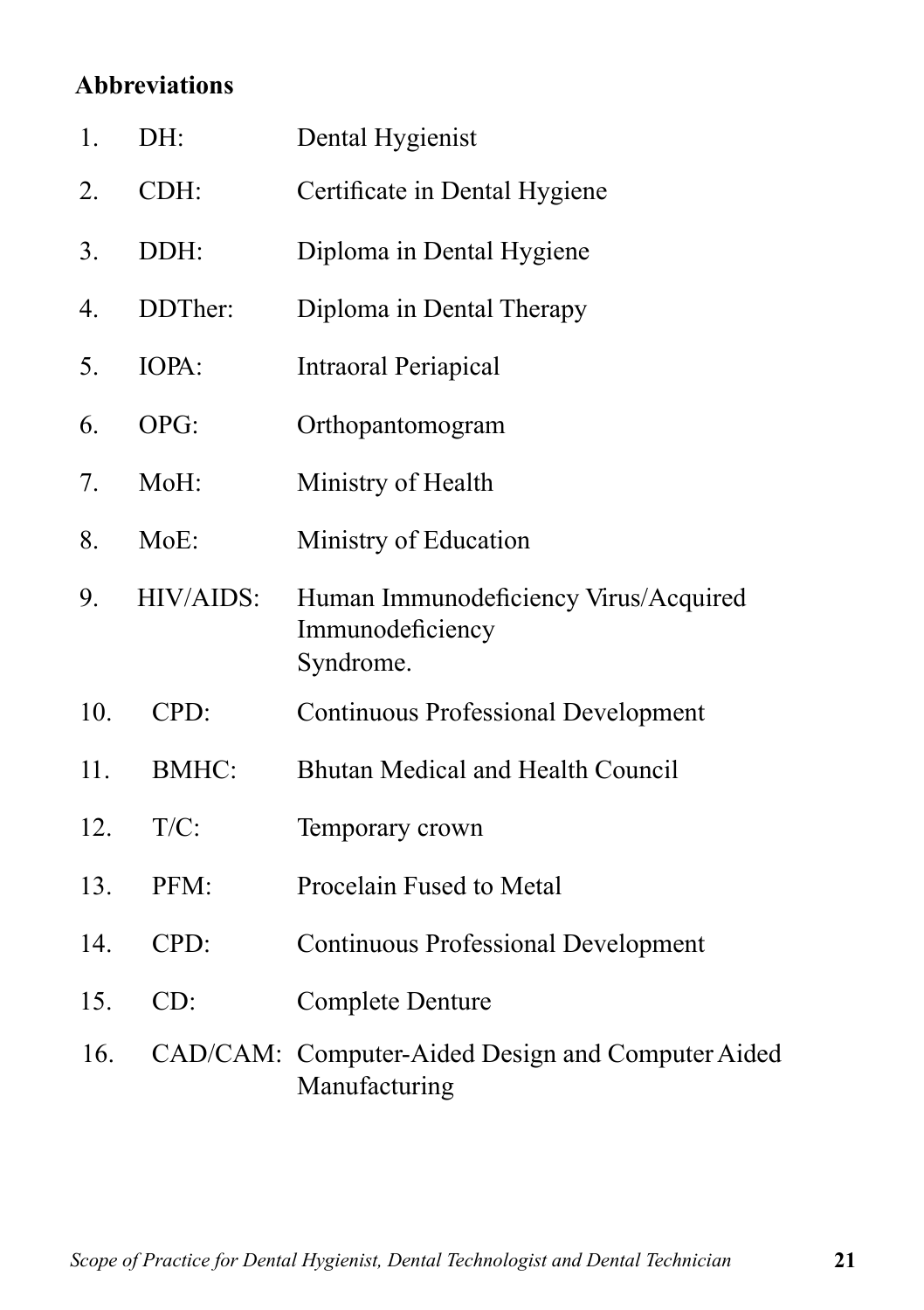### **Abbreviations**

| 1.  | DH:          | Dental Hygienist                                                       |
|-----|--------------|------------------------------------------------------------------------|
| 2.  | CDH:         | Certificate in Dental Hygiene                                          |
| 3.  | DDH:         | Diploma in Dental Hygiene                                              |
| 4.  | DDTher:      | Diploma in Dental Therapy                                              |
| 5.  | IOPA:        | Intraoral Periapical                                                   |
| 6.  | OPG:         | Orthopantomogram                                                       |
| 7.  | MoH:         | Ministry of Health                                                     |
| 8.  | MoE:         | Ministry of Education                                                  |
| 9.  | HIV/AIDS:    | Human Immunodeficiency Virus/Acquired<br>Immunodeficiency<br>Syndrome. |
| 10. | CPD:         | <b>Continuous Professional Development</b>                             |
| 11. | <b>BMHC:</b> | Bhutan Medical and Health Council                                      |
| 12. | $T/C$ :      | Temporary crown                                                        |
| 13. | PFM:         | Procelain Fused to Metal                                               |
| 14. | CPD:         | <b>Continuous Professional Development</b>                             |
| 15. | CD:          | <b>Complete Denture</b>                                                |
| 16. |              | CAD/CAM: Computer-Aided Design and Computer Aided<br>Manufacturing     |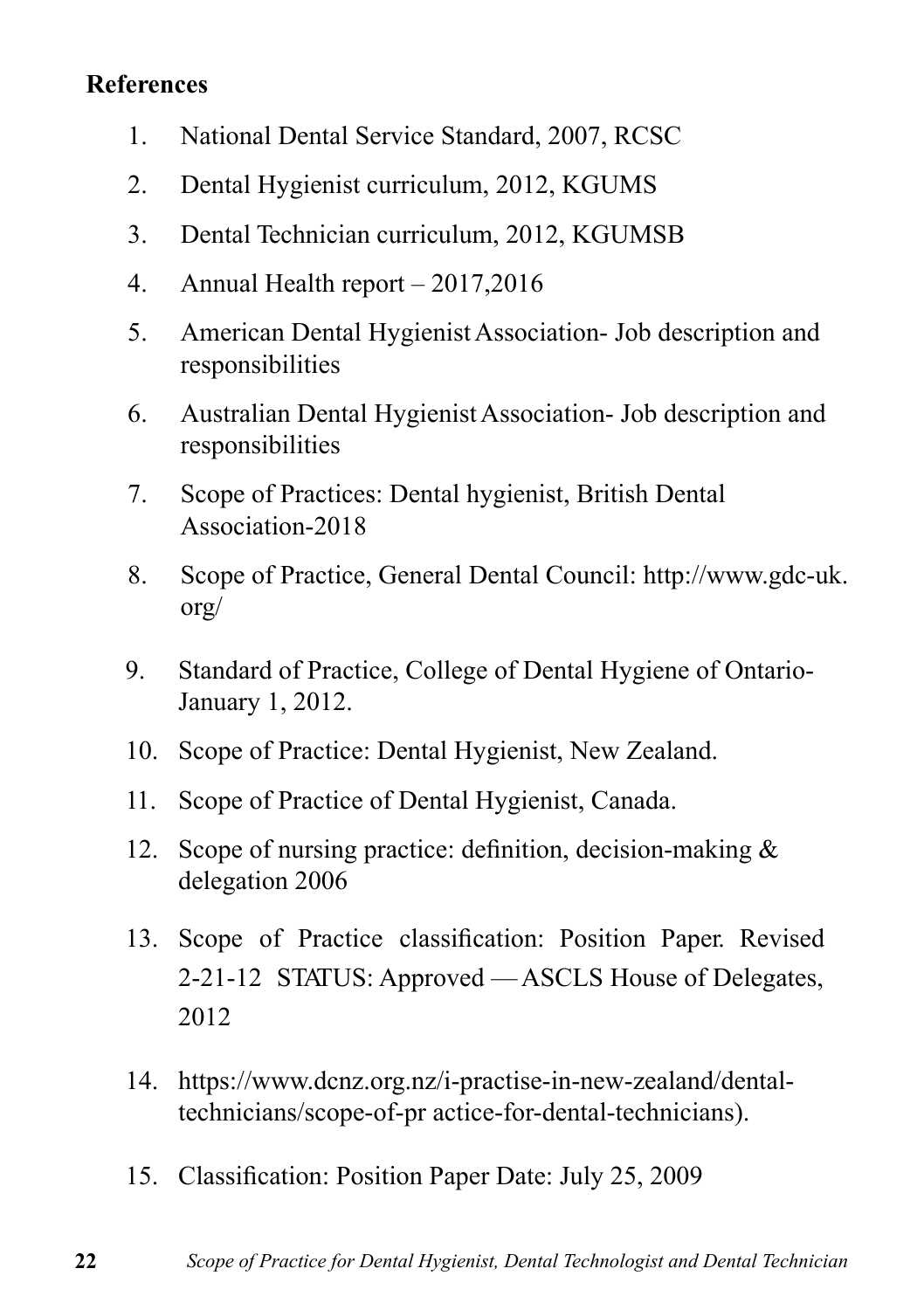#### **References**

- 1. National Dental Service Standard, 2007, RCSC
- 2. Dental Hygienist curriculum, 2012, KGUMS
- 3. Dental Technician curriculum, 2012, KGUMSB
- 4. Annual Health report 2017,2016
- 5. American Dental Hygienist Association- Job description and responsibilities
- 6. Australian Dental Hygienist Association- Job description and responsibilities
- 7. Scope of Practices: Dental hygienist, British Dental Association-2018
- 8. Scope of Practice, General Dental Council: http://www.gdc-uk. org/
- 9. Standard of Practice, College of Dental Hygiene of Ontario-January 1, 2012.
- 10. Scope of Practice: Dental Hygienist, New Zealand.
- 11. Scope of Practice of Dental Hygienist, Canada.
- 12. Scope of nursing practice: definition, decision-making & delegation 2006
- 13. Scope of Practice classification: Position Paper. Revised 2-21-12 STATUS: Approved — ASCLS House of Delegates, 2012
- 14. https://www.dcnz.org.nz/i-practise-in-new-zealand/dentaltechnicians/scope-of-pr actice-for-dental-technicians).
- 15. Classification: Position Paper Date: July 25, 2009